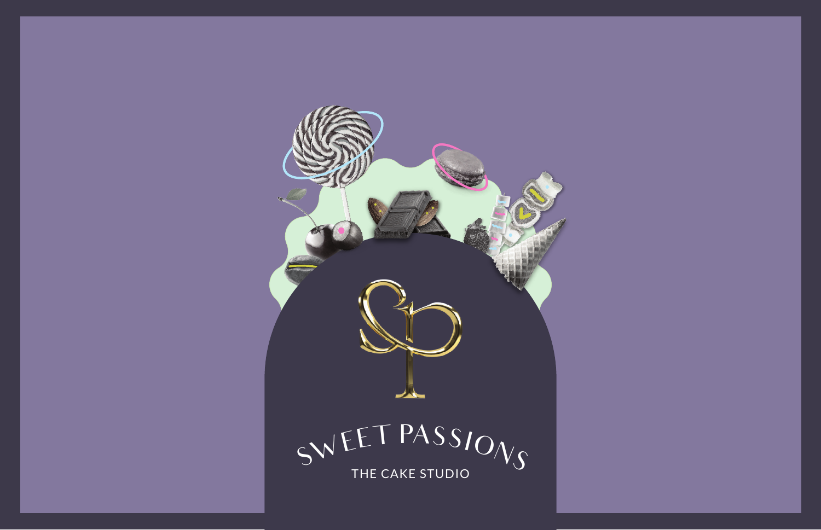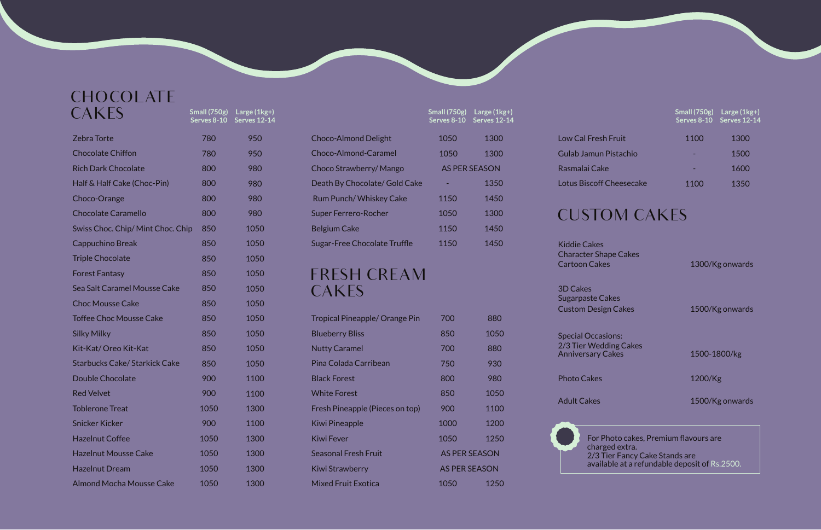**Small (750g) Serves 8-10**

**Large (1kg+) Serves 12-14**

### **CHOCOLATE** CAKES

| <b>Zebra Torte</b>                  | 780  |
|-------------------------------------|------|
| <b>Chocolate Chiffon</b>            | 780  |
| <b>Rich Dark Chocolate</b>          | 800  |
| Half & Half Cake (Choc-Pin)         | 800  |
| Choco-Orange                        | 800  |
| <b>Chocolate Caramello</b>          | 800  |
| Swiss Choc. Chip/ Mint Choc. Chip   | 850  |
| Cappuchino Break                    | 850  |
| <b>Triple Chocolate</b>             | 850  |
| <b>Forest Fantasy</b>               | 850  |
| <b>Sea Salt Caramel Mousse Cake</b> | 850  |
| <b>Choc Mousse Cake</b>             | 850  |
| <b>Toffee Choc Mousse Cake</b>      | 850  |
| <b>Silky Milky</b>                  | 850  |
| Kit-Kat/Oreo Kit-Kat                | 850  |
| Starbucks Cake/ Starkick Cake       | 850  |
| <b>Double Chocolate</b>             | 900  |
| <b>Red Velvet</b>                   | 900  |
| <b>Toblerone Treat</b>              | 1050 |
| <b>Snicker Kicker</b>               | 900  |
| <b>Hazelnut Coffee</b>              | 1050 |
| <b>Hazelnut Mousse Cake</b>         | 1050 |
| <b>Hazelnut Dream</b>               | 1050 |
| <b>Almond Mocha Mousse Cake</b>     | 1050 |

950

950

980

980

980

980

1050

1050

1050

1050

1050

1050

1050

1050

1050

1050

|                                       | <b>Small (750g)</b><br>Serves 8-10 | Large $(1kg+)$<br>Serves 12-14 |                                                                             | Small $(750g)$<br>Serves 8-10         | Large $(1kg+)$<br><b>Serves 12-14</b> |  |
|---------------------------------------|------------------------------------|--------------------------------|-----------------------------------------------------------------------------|---------------------------------------|---------------------------------------|--|
| <b>Choco-Almond Delight</b>           | 1050                               | 1300                           | <b>Low Cal Fresh Fruit</b>                                                  | 1100                                  | 1300                                  |  |
| <b>Choco-Almond-Caramel</b>           | 1050                               | 1300                           | <b>Gulab Jamun Pistachio</b>                                                |                                       | 1500                                  |  |
| Choco Strawberry/ Mango               | <b>AS PER SEASON</b>               |                                | Rasmalai Cake                                                               |                                       | 1600                                  |  |
| Death By Chocolate/ Gold Cake         |                                    | 1350                           | <b>Lotus Biscoff Cheesecake</b>                                             | 1100                                  | 1350                                  |  |
| <b>Rum Punch/ Whiskey Cake</b>        | 1150                               | 1450                           |                                                                             |                                       |                                       |  |
| <b>Super Ferrero-Rocher</b>           | 1050                               | 1300                           | <b>CUSTOM CAKES</b>                                                         |                                       |                                       |  |
| <b>Belgium Cake</b>                   | 1150                               | 1450                           |                                                                             |                                       |                                       |  |
| <b>Sugar-Free Chocolate Truffle</b>   | 1150                               | 1450                           | <b>Kiddie Cakes</b><br><b>Character Shape Cakes</b><br><b>Cartoon Cakes</b> |                                       | 1300/Kg onwards                       |  |
| <b>FRESH CREAM</b>                    |                                    |                                |                                                                             |                                       |                                       |  |
| CAKES                                 |                                    |                                | <b>3D Cakes</b><br><b>Sugarpaste Cakes</b><br><b>Custom Design Cakes</b>    |                                       | 1500/Kg onwards                       |  |
| <b>Tropical Pineapple/ Orange Pin</b> | 700                                | 880                            |                                                                             |                                       |                                       |  |
| <b>Blueberry Bliss</b>                | 850                                | 1050                           | <b>Special Occasions:</b>                                                   |                                       |                                       |  |
| <b>Nutty Caramel</b>                  | 700                                | 880                            | 2/3 Tier Wedding Cakes<br><b>Anniversary Cakes</b>                          |                                       |                                       |  |
| Pina Colada Carribean                 | 750                                | 930                            |                                                                             | 1500-1800/kg                          |                                       |  |
| <b>Black Forest</b>                   | 800                                | 980                            | <b>Photo Cakes</b>                                                          | 1200/Kg                               |                                       |  |
| <b>White Forest</b>                   | 850                                | 1050                           |                                                                             | 1500/Kg onwards                       |                                       |  |
| Fresh Pineapple (Pieces on top)       | 900                                | 1100                           | <b>Adult Cakes</b>                                                          |                                       |                                       |  |
| Kiwi Pineapple                        | 1000                               | 1200                           |                                                                             |                                       |                                       |  |
| <b>Kiwi Fever</b>                     | 1050                               | 1250                           |                                                                             | For Photo cakes, Premium flavours are |                                       |  |
| <b>Seasonal Fresh Fruit</b>           | <b>AS PER SEASON</b>               |                                | charged extra.<br>2/3 Tier Fancy Cake Stands are                            |                                       |                                       |  |
| Kiwi Strawberry                       |                                    | <b>AS PER SEASON</b>           | available at a refundable deposit of Rs.2500.                               |                                       |                                       |  |
| <b>Mixed Fruit Exotica</b>            | 1050                               | 1250                           |                                                                             |                                       |                                       |  |

1100

1100

1300

1100

1300

1300

1300

1300